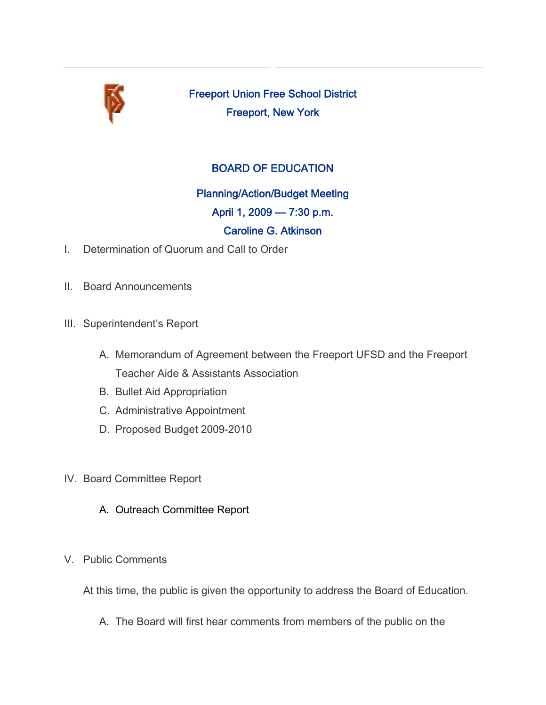

Freeport Union Free School District Freeport, New York

## BOARD OF EDUCATION

Planning/Action/Budget Meeting

April 1, 2009 — 7:30 p.m.

### Caroline G. Atkinson

- I. Determination of Quorum and Call to Order
- II. Board Announcements
- III. Superintendent's Report
	- A. Memorandum of Agreement between the Freeport UFSD and the Freeport Teacher Aide & Assistants Association
	- B. Bullet Aid Appropriation
	- C. Administrative Appointment
	- D. Proposed Budget 2009-2010
- IV. Board Committee Report
	- A. Outreach Committee Report
- V. Public Comments

At this time, the public is given the opportunity to address the Board of Education.

A. The Board will first hear comments from members of the public on the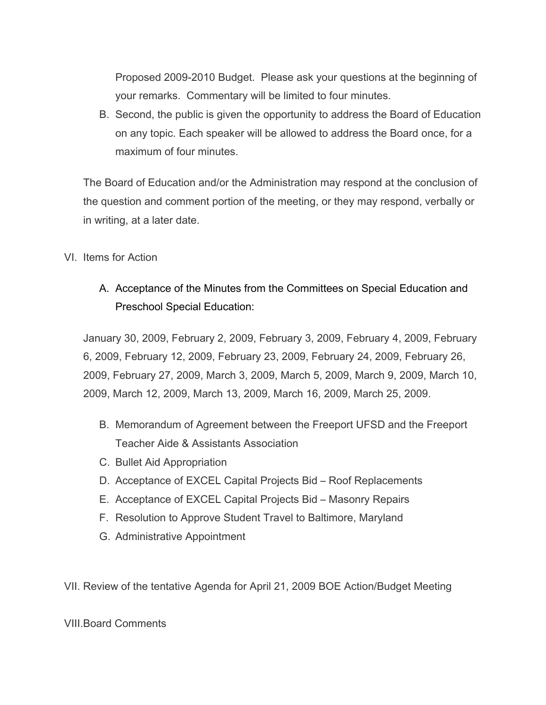Proposed 2009-2010 Budget. Please ask your questions at the beginning of your remarks. Commentary will be limited to four minutes.

B. Second, the public is given the opportunity to address the Board of Education on any topic. Each speaker will be allowed to address the Board once, for a maximum of four minutes.

The Board of Education and/or the Administration may respond at the conclusion of the question and comment portion of the meeting, or they may respond, verbally or in writing, at a later date.

#### VI. Items for Action

# A. Acceptance of the Minutes from the Committees on Special Education and Preschool Special Education:

January 30, 2009, February 2, 2009, February 3, 2009, February 4, 2009, February 6, 2009, February 12, 2009, February 23, 2009, February 24, 2009, February 26, 2009, February 27, 2009, March 3, 2009, March 5, 2009, March 9, 2009, March 10, 2009, March 12, 2009, March 13, 2009, March 16, 2009, March 25, 2009.

- B. Memorandum of Agreement between the Freeport UFSD and the Freeport Teacher Aide & Assistants Association
- C. Bullet Aid Appropriation
- D. Acceptance of EXCEL Capital Projects Bid Roof Replacements
- E. Acceptance of EXCEL Capital Projects Bid Masonry Repairs
- F. Resolution to Approve Student Travel to Baltimore, Maryland
- G. Administrative Appointment

VII. Review of the tentative Agenda for April 21, 2009 BOE Action/Budget Meeting

#### VIII.Board Comments